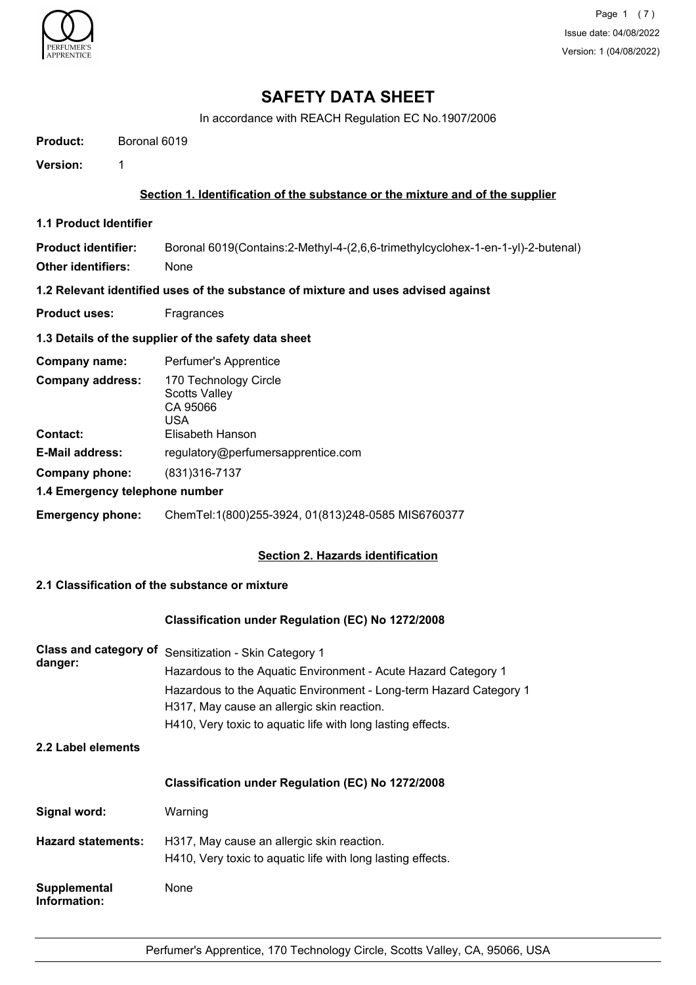

## **SAFETY DATA SHEET**

In accordance with REACH Regulation EC No.1907/2006

| <b>Product:</b>               | Boronal 6019                                                                      |
|-------------------------------|-----------------------------------------------------------------------------------|
| Version:                      | 1                                                                                 |
|                               | Section 1. Identification of the substance or the mixture and of the supplier     |
| <b>1.1 Product Identifier</b> |                                                                                   |
| <b>Product identifier:</b>    | Boronal 6019(Contains:2-Methyl-4-(2,6,6-trimethylcyclohex-1-en-1-yl)-2-butenal)   |
| <b>Other identifiers:</b>     | None                                                                              |
|                               | 1.2 Relevant identified uses of the substance of mixture and uses advised against |
| <b>Product uses:</b>          | Fragrances                                                                        |
|                               | 1.3 Details of the supplier of the safety data sheet                              |
| Company name:                 | Perfumer's Apprentice                                                             |
| <b>Company address:</b>       | 170 Technology Circle<br><b>Scotts Valley</b><br>CA 95066<br><b>USA</b>           |
| Contact:                      | Elisabeth Hanson                                                                  |
| <b>E-Mail address:</b>        | regulatory@perfumersapprentice.com                                                |
| <b>Company phone:</b>         | (831) 316-7137                                                                    |
|                               | 1.4 Emergency telephone number                                                    |
| <b>Emergency phone:</b>       | ChemTel:1(800)255-3924, 01(813)248-0585 MIS6760377                                |

#### **Section 2. Hazards identification**

#### **2.1 Classification of the substance or mixture**

#### **Classification under Regulation (EC) No 1272/2008**

| Class and category of               | Sensitization - Skin Category 1<br>Hazardous to the Aquatic Environment - Acute Hazard Category 1 |  |  |
|-------------------------------------|---------------------------------------------------------------------------------------------------|--|--|
| danger:                             |                                                                                                   |  |  |
|                                     | Hazardous to the Aquatic Environment - Long-term Hazard Category 1                                |  |  |
|                                     | H317, May cause an allergic skin reaction.                                                        |  |  |
|                                     | H410, Very toxic to aquatic life with long lasting effects.                                       |  |  |
| 2.2 Label elements                  |                                                                                                   |  |  |
|                                     | <b>Classification under Regulation (EC) No 1272/2008</b>                                          |  |  |
| Signal word:                        | Warning                                                                                           |  |  |
| <b>Hazard statements:</b>           | H317, May cause an allergic skin reaction.                                                        |  |  |
|                                     | H410, Very toxic to aquatic life with long lasting effects.                                       |  |  |
| <b>Supplemental</b><br>Information: | None                                                                                              |  |  |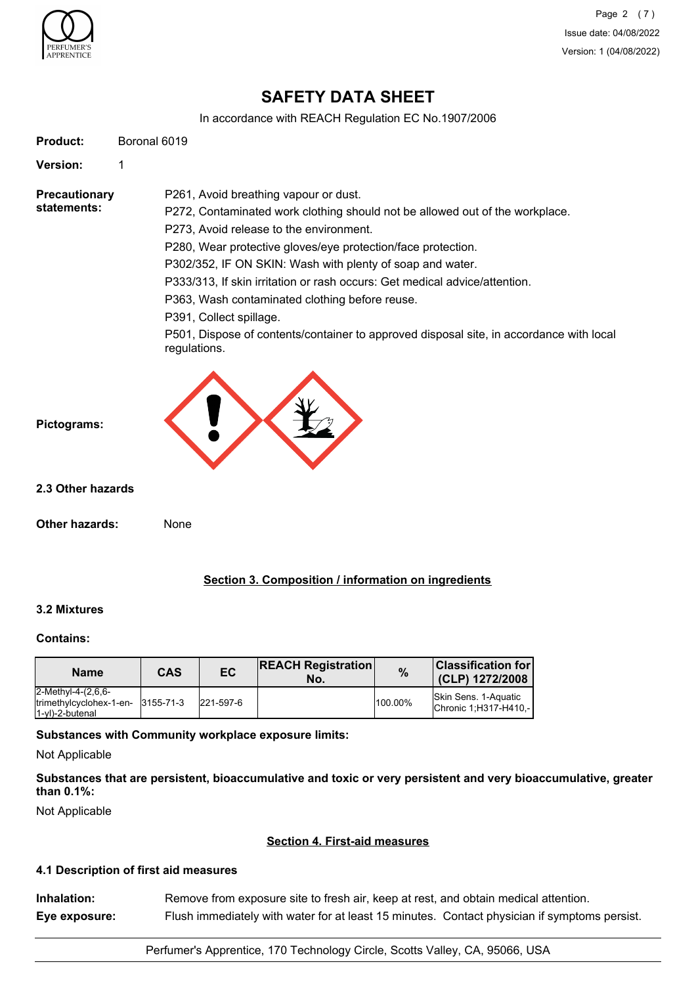

Page 2 (7) Issue date: 04/08/2022 Version: 1 (04/08/2022)

## **SAFETY DATA SHEET**

In accordance with REACH Regulation EC No.1907/2006

| Product:                                              | Boronal 6019 |                         |                                                                            |      |                                                                                         |
|-------------------------------------------------------|--------------|-------------------------|----------------------------------------------------------------------------|------|-----------------------------------------------------------------------------------------|
| <b>Version:</b><br>1                                  |              |                         |                                                                            |      |                                                                                         |
| <b>Precautionary</b>                                  |              |                         | P261, Avoid breathing vapour or dust.                                      |      |                                                                                         |
| statements:                                           |              |                         |                                                                            |      | P272, Contaminated work clothing should not be allowed out of the workplace.            |
|                                                       |              |                         | P273, Avoid release to the environment.                                    |      |                                                                                         |
|                                                       |              |                         | P280, Wear protective gloves/eye protection/face protection.               |      |                                                                                         |
|                                                       |              |                         | P302/352, IF ON SKIN: Wash with plenty of soap and water.                  |      |                                                                                         |
|                                                       |              |                         | P333/313, If skin irritation or rash occurs: Get medical advice/attention. |      |                                                                                         |
|                                                       |              |                         | P363, Wash contaminated clothing before reuse.                             |      |                                                                                         |
|                                                       |              | P391, Collect spillage. |                                                                            |      |                                                                                         |
|                                                       |              | regulations.            |                                                                            |      | P501, Dispose of contents/container to approved disposal site, in accordance with local |
| 2.3 Other hazards                                     |              |                         |                                                                            |      |                                                                                         |
|                                                       |              |                         |                                                                            |      |                                                                                         |
| Other hazards:                                        | None         |                         |                                                                            |      |                                                                                         |
|                                                       |              |                         | Section 3. Composition / information on ingredients                        |      |                                                                                         |
| 3.2 Mixtures                                          |              |                         |                                                                            |      |                                                                                         |
|                                                       |              |                         |                                                                            |      |                                                                                         |
| <b>Contains:</b><br><b>Name</b><br>2-Methyl-4-(2,6,6- | <b>CAS</b>   | EC                      | <b>REACH Registration</b><br>No.                                           | $\%$ | <b>Classification for</b><br>(CLP) 1272/2008                                            |

**Substances that are persistent, bioaccumulative and toxic or very persistent and very bioaccumulative, greater than 0.1%:**

Not Applicable

#### **Section 4. First-aid measures**

#### **4.1 Description of first aid measures**

| Inhalation:   | Remove from exposure site to fresh air, keep at rest, and obtain medical attention.          |
|---------------|----------------------------------------------------------------------------------------------|
| Eye exposure: | Flush immediately with water for at least 15 minutes. Contact physician if symptoms persist. |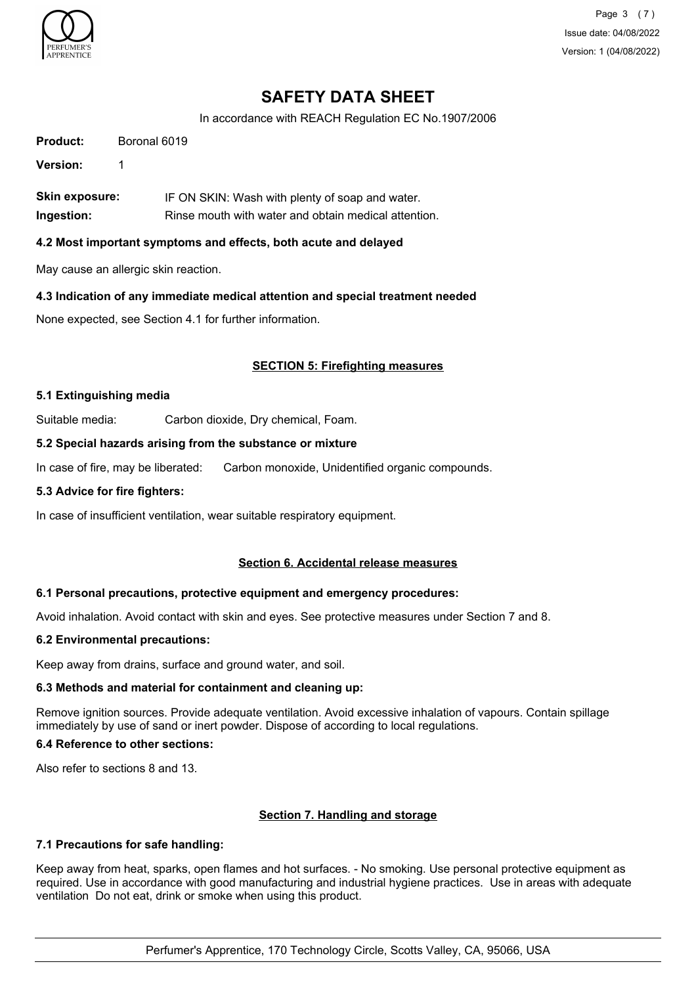

Page 3 (7) Issue date: 04/08/2022 Version: 1 (04/08/2022)

## **SAFETY DATA SHEET**

In accordance with REACH Regulation EC No.1907/2006

**Product:** Boronal 6019

**Version:** 1

**Skin exposure:** IF ON SKIN: Wash with plenty of soap and water. **Ingestion:** Rinse mouth with water and obtain medical attention.

#### **4.2 Most important symptoms and effects, both acute and delayed**

May cause an allergic skin reaction.

#### **4.3 Indication of any immediate medical attention and special treatment needed**

None expected, see Section 4.1 for further information.

#### **SECTION 5: Firefighting measures**

#### **5.1 Extinguishing media**

Suitable media: Carbon dioxide, Dry chemical, Foam.

#### **5.2 Special hazards arising from the substance or mixture**

In case of fire, may be liberated: Carbon monoxide, Unidentified organic compounds.

#### **5.3 Advice for fire fighters:**

In case of insufficient ventilation, wear suitable respiratory equipment.

#### **Section 6. Accidental release measures**

#### **6.1 Personal precautions, protective equipment and emergency procedures:**

Avoid inhalation. Avoid contact with skin and eyes. See protective measures under Section 7 and 8.

#### **6.2 Environmental precautions:**

Keep away from drains, surface and ground water, and soil.

#### **6.3 Methods and material for containment and cleaning up:**

Remove ignition sources. Provide adequate ventilation. Avoid excessive inhalation of vapours. Contain spillage immediately by use of sand or inert powder. Dispose of according to local regulations.

#### **6.4 Reference to other sections:**

Also refer to sections 8 and 13.

### **Section 7. Handling and storage**

#### **7.1 Precautions for safe handling:**

Keep away from heat, sparks, open flames and hot surfaces. - No smoking. Use personal protective equipment as required. Use in accordance with good manufacturing and industrial hygiene practices. Use in areas with adequate ventilation Do not eat, drink or smoke when using this product.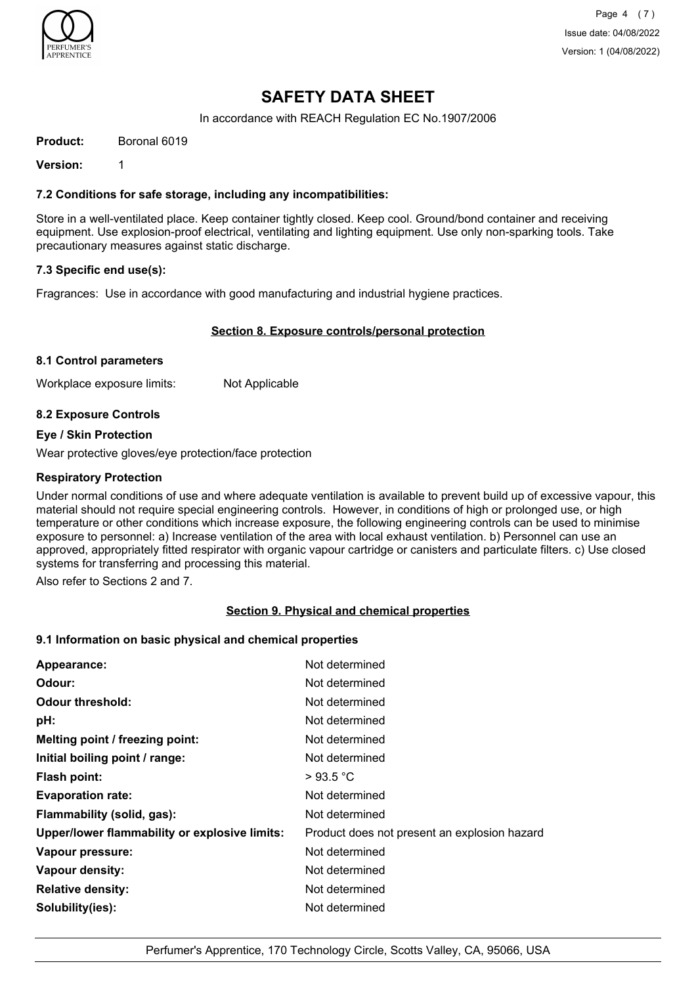

Page 4 (7) Issue date: 04/08/2022 Version: 1 (04/08/2022)

## **SAFETY DATA SHEET**

In accordance with REACH Regulation EC No.1907/2006

**Product:** Boronal 6019

**Version:** 1

#### **7.2 Conditions for safe storage, including any incompatibilities:**

Store in a well-ventilated place. Keep container tightly closed. Keep cool. Ground/bond container and receiving equipment. Use explosion-proof electrical, ventilating and lighting equipment. Use only non-sparking tools. Take precautionary measures against static discharge.

#### **7.3 Specific end use(s):**

Fragrances: Use in accordance with good manufacturing and industrial hygiene practices.

#### **Section 8. Exposure controls/personal protection**

#### **8.1 Control parameters**

Workplace exposure limits: Not Applicable

#### **8.2 Exposure Controls**

#### **Eye / Skin Protection**

Wear protective gloves/eye protection/face protection

#### **Respiratory Protection**

Under normal conditions of use and where adequate ventilation is available to prevent build up of excessive vapour, this material should not require special engineering controls. However, in conditions of high or prolonged use, or high temperature or other conditions which increase exposure, the following engineering controls can be used to minimise exposure to personnel: a) Increase ventilation of the area with local exhaust ventilation. b) Personnel can use an approved, appropriately fitted respirator with organic vapour cartridge or canisters and particulate filters. c) Use closed systems for transferring and processing this material.

Also refer to Sections 2 and 7.

#### **Section 9. Physical and chemical properties**

#### **9.1 Information on basic physical and chemical properties**

| Appearance:                                   | Not determined                               |
|-----------------------------------------------|----------------------------------------------|
| Odour:                                        | Not determined                               |
| <b>Odour threshold:</b>                       | Not determined                               |
| pH:                                           | Not determined                               |
| Melting point / freezing point:               | Not determined                               |
| Initial boiling point / range:                | Not determined                               |
| Flash point:                                  | >93.5 °C                                     |
| <b>Evaporation rate:</b>                      | Not determined                               |
| Flammability (solid, gas):                    | Not determined                               |
| Upper/lower flammability or explosive limits: | Product does not present an explosion hazard |
| Vapour pressure:                              | Not determined                               |
| Vapour density:                               | Not determined                               |
| <b>Relative density:</b>                      | Not determined                               |
| Solubility(ies):                              | Not determined                               |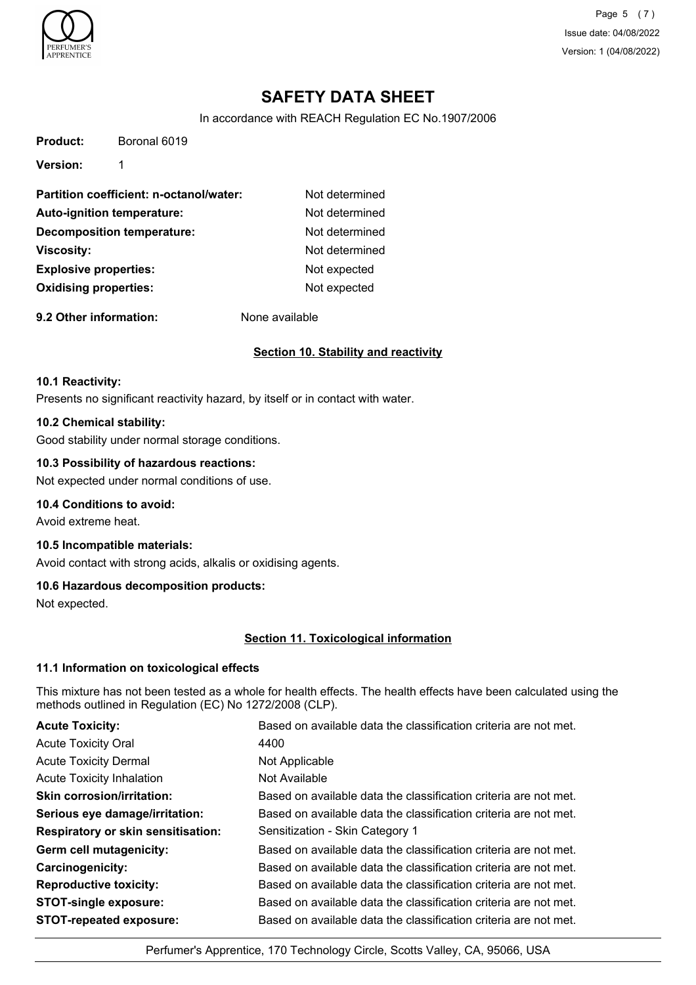

**Product:** Boronal 6019

Page 5 (7) Issue date: 04/08/2022 Version: 1 (04/08/2022)

## **SAFETY DATA SHEET**

In accordance with REACH Regulation EC No.1907/2006

| <b>Version:</b>                         |                |
|-----------------------------------------|----------------|
| Partition coefficient: n-octanol/water: | Not determined |
| Auto-ignition temperature:              | Not determined |
| Decomposition temperature:              | Not determined |
| <b>Viscosity:</b>                       | Not determined |
| <b>Explosive properties:</b>            | Not expected   |
| <b>Oxidising properties:</b>            | Not expected   |

**9.2 Other information:** None available

#### **Section 10. Stability and reactivity**

#### **10.1 Reactivity:**

Presents no significant reactivity hazard, by itself or in contact with water.

#### **10.2 Chemical stability:**

Good stability under normal storage conditions.

#### **10.3 Possibility of hazardous reactions:**

Not expected under normal conditions of use.

#### **10.4 Conditions to avoid:**

Avoid extreme heat.

#### **10.5 Incompatible materials:**

Avoid contact with strong acids, alkalis or oxidising agents.

#### **10.6 Hazardous decomposition products:**

Not expected.

#### **Section 11. Toxicological information**

#### **11.1 Information on toxicological effects**

This mixture has not been tested as a whole for health effects. The health effects have been calculated using the methods outlined in Regulation (EC) No 1272/2008 (CLP).

| <b>Acute Toxicity:</b>                    | Based on available data the classification criteria are not met. |
|-------------------------------------------|------------------------------------------------------------------|
| <b>Acute Toxicity Oral</b>                | 4400                                                             |
| <b>Acute Toxicity Dermal</b>              | Not Applicable                                                   |
| <b>Acute Toxicity Inhalation</b>          | Not Available                                                    |
| <b>Skin corrosion/irritation:</b>         | Based on available data the classification criteria are not met. |
| Serious eye damage/irritation:            | Based on available data the classification criteria are not met. |
| <b>Respiratory or skin sensitisation:</b> | Sensitization - Skin Category 1                                  |
| Germ cell mutagenicity:                   | Based on available data the classification criteria are not met. |
| <b>Carcinogenicity:</b>                   | Based on available data the classification criteria are not met. |
| <b>Reproductive toxicity:</b>             | Based on available data the classification criteria are not met. |
| <b>STOT-single exposure:</b>              | Based on available data the classification criteria are not met. |
| <b>STOT-repeated exposure:</b>            | Based on available data the classification criteria are not met. |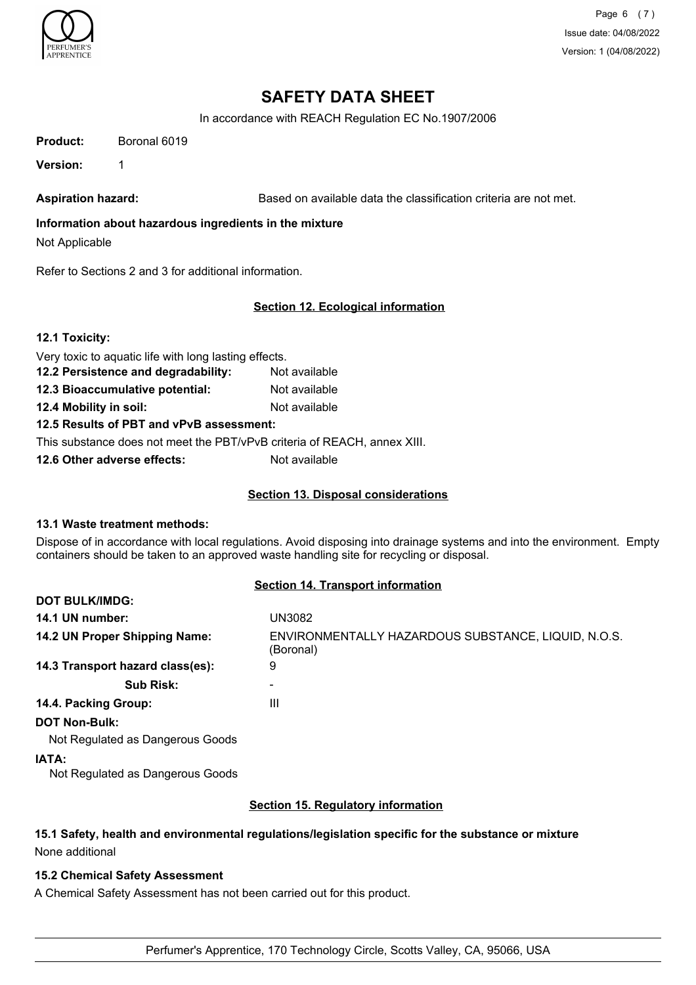

Page 6 (7) Issue date: 04/08/2022 Version: 1 (04/08/2022)

## **SAFETY DATA SHEET**

In accordance with REACH Regulation EC No.1907/2006

| <b>Product:</b> | Boronal 6019 |
|-----------------|--------------|
|                 |              |

**Version:** 1

Aspiration hazard: **Based on available data the classification criteria are not met.** 

### **Information about hazardous ingredients in the mixture**

Not Applicable

Refer to Sections 2 and 3 for additional information.

#### **Section 12. Ecological information**

|  | 12.1 Toxicity: |
|--|----------------|
|--|----------------|

| Very toxic to aquatic life with long lasting effects. |  |
|-------------------------------------------------------|--|
|-------------------------------------------------------|--|

- **12.2 Persistence and degradability:** Not available
- **12.3 Bioaccumulative potential:** Not available
- **12.4 Mobility in soil:** Not available

#### **12.5 Results of PBT and vPvB assessment:**

This substance does not meet the PBT/vPvB criteria of REACH, annex XIII.

**12.6 Other adverse effects:** Not available

#### **Section 13. Disposal considerations**

#### **13.1 Waste treatment methods:**

**DOT BULK/IMDG:**

Dispose of in accordance with local regulations. Avoid disposing into drainage systems and into the environment. Empty containers should be taken to an approved waste handling site for recycling or disposal.

#### **Section 14. Transport information**

| 14.1 UN number:                           | UN3082                                                           |
|-------------------------------------------|------------------------------------------------------------------|
| 14.2 UN Proper Shipping Name:             | ENVIRONMENTALLY HAZARDOUS SUBSTANCE, LIQUID, N.O.S.<br>(Boronal) |
| 14.3 Transport hazard class(es):          | 9                                                                |
| <b>Sub Risk:</b>                          |                                                                  |
| 14.4. Packing Group:                      | Ш                                                                |
| <b>DOT Non-Bulk:</b>                      |                                                                  |
| Not Regulated as Dangerous Goods          |                                                                  |
| IATA:<br>Not Regulated as Dangerous Goods |                                                                  |
|                                           |                                                                  |

#### **Section 15. Regulatory information**

# **15.1 Safety, health and environmental regulations/legislation specific for the substance or mixture**

None additional

#### **15.2 Chemical Safety Assessment**

A Chemical Safety Assessment has not been carried out for this product.